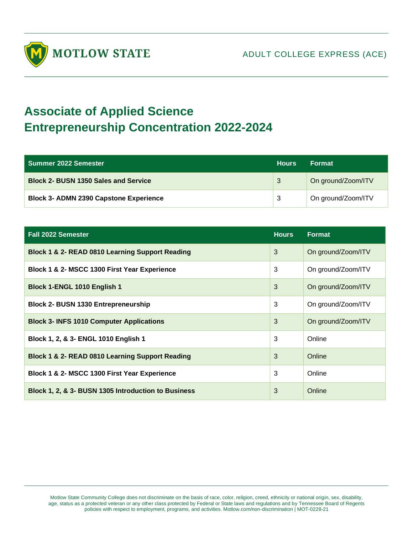

## **Associate of Applied Science Entrepreneurship Concentration 2022-2024**

| Summer 2022 Semester                          | <b>Hours</b> | <b>Format</b>      |
|-----------------------------------------------|--------------|--------------------|
| <b>Block 2- BUSN 1350 Sales and Service</b>   | 3            | On ground/Zoom/ITV |
| <b>Block 3- ADMN 2390 Capstone Experience</b> | -3           | On ground/Zoom/ITV |

| <b>Fall 2022 Semester</b>                           | <b>Hours</b> | <b>Format</b>      |
|-----------------------------------------------------|--------------|--------------------|
| Block 1 & 2- READ 0810 Learning Support Reading     | 3            | On ground/Zoom/ITV |
| Block 1 & 2- MSCC 1300 First Year Experience        | 3            | On ground/Zoom/ITV |
| Block 1-ENGL 1010 English 1                         | 3            | On ground/Zoom/ITV |
| <b>Block 2- BUSN 1330 Entrepreneurship</b>          | 3            | On ground/Zoom/ITV |
| <b>Block 3- INFS 1010 Computer Applications</b>     | 3            | On ground/Zoom/ITV |
| Block 1, 2, & 3- ENGL 1010 English 1                | 3            | Online             |
| Block 1 & 2- READ 0810 Learning Support Reading     | 3            | Online             |
| Block 1 & 2- MSCC 1300 First Year Experience        | 3            | Online             |
| Block 1, 2, & 3- BUSN 1305 Introduction to Business | 3            | Online             |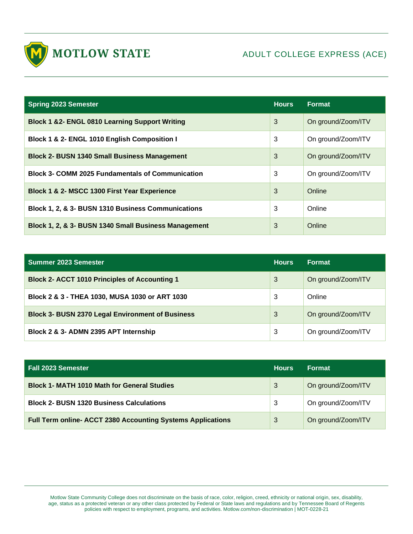

| <b>Spring 2023 Semester</b>                               | <b>Hours</b> | <b>Format</b>      |
|-----------------------------------------------------------|--------------|--------------------|
| <b>Block 1 &amp;2- ENGL 0810 Learning Support Writing</b> | 3            | On ground/Zoom/ITV |
| Block 1 & 2- ENGL 1010 English Composition I              | 3            | On ground/Zoom/ITV |
| <b>Block 2- BUSN 1340 Small Business Management</b>       | 3            | On ground/Zoom/ITV |
| <b>Block 3- COMM 2025 Fundamentals of Communication</b>   | 3            | On ground/Zoom/ITV |
| Block 1 & 2- MSCC 1300 First Year Experience              | 3            | Online             |
| Block 1, 2, & 3- BUSN 1310 Business Communications        | 3            | Online             |
| Block 1, 2, & 3- BUSN 1340 Small Business Management      | 3            | Online             |

| Summer 2023 Semester                                    | <b>Hours</b> | <b>Format</b>      |
|---------------------------------------------------------|--------------|--------------------|
| <b>Block 2- ACCT 1010 Principles of Accounting 1</b>    | 3            | On ground/Zoom/ITV |
| Block 2 & 3 - THEA 1030, MUSA 1030 or ART 1030          | 3            | Online             |
| <b>Block 3- BUSN 2370 Legal Environment of Business</b> | 3            | On ground/Zoom/ITV |
| Block 2 & 3- ADMN 2395 APT Internship                   | 3            | On ground/Zoom/ITV |

| <b>Fall 2023 Semester</b>                                   | <b>Hours</b> | <b>Format</b>      |
|-------------------------------------------------------------|--------------|--------------------|
| <b>Block 1- MATH 1010 Math for General Studies</b>          | 3            | On ground/Zoom/ITV |
| <b>Block 2- BUSN 1320 Business Calculations</b>             | 3            | On ground/Zoom/ITV |
| Full Term online- ACCT 2380 Accounting Systems Applications | 3            | On ground/Zoom/ITV |

Motlow State Community College does not discriminate on the basis of race, color, religion, creed, ethnicity or national origin, sex, disability, age, status as a protected veteran or any other class protected by Federal or State laws and regulations and by Tennessee Board of Regents policies with respect to employment, programs, and activities. Motlow.com/non-discrimination | MOT-0228-21